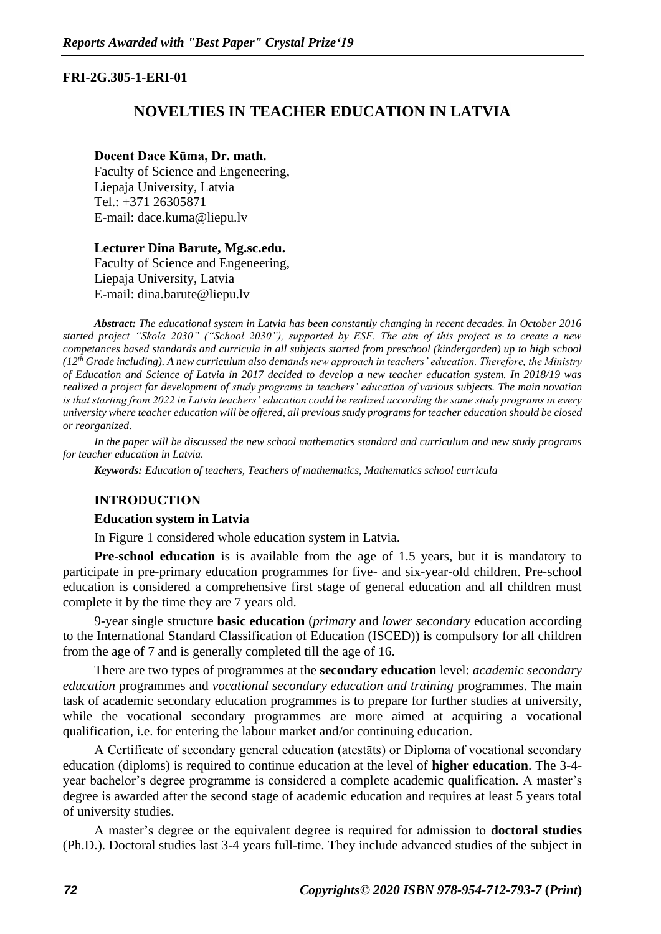## **FRI-2G.305-1-ERI-01**

## **NOVELTIES IN TEACHER EDUCATION IN LATVIA**

#### **Docent Dace Kūma, Dr. math.**

Faculty of Science and Engeneering, Liepaja University, Latvia Tel.: +371 26305871 E-mail: dace.kuma@liepu.lv

### **Lecturer Dina Barute, Mg.sc.edu.**

Faculty of Science and Engeneering, Liepaja University, Latvia E-mail: dina.barute@liepu.lv

*Abstract: The educational system in Latvia has been constantly changing in recent decades. In October 2016 started project "Skola 2030" ("School 2030"), supported by ESF. The aim of this project is to create a new competances based standards and curricula in all subjects started from preschool (kindergarden) up to high school (12th Grade including). A new curriculum also demands new approach in teachers' education. Therefore, the Ministry of Education and Science of Latvia in 2017 decided to develop a new teacher education system. In 2018/19 was realized a project for development of study programs in teachers' education of various subjects. The main novation is that starting from 2022 in Latvia teachers' education could be realized according the same study programs in every university where teacher education will be offered, all previous study programs for teacher education should be closed or reorganized.*

*In the paper will be discussed the new school mathematics standard and curriculum and new study programs for teacher education in Latvia.* 

*Keywords: Education of teachers, Teachers of mathematics, Mathematics school curricula*

#### **INTRODUCTION**

#### **Education system in Latvia**

In Figure 1 considered whole education system in Latvia.

**Pre-school education** is is available from the age of 1.5 years, but it is mandatory to participate in pre-primary education programmes for five- and six-year-old children. Pre-school education is considered a comprehensive first stage of general education and all children must complete it by the time they are 7 years old.

9-year single structure **basic education** (*primary* and *lower secondary* education according to the International Standard Classification of Education (ISCED)) is compulsory for all children from the age of 7 and is generally completed till the age of 16.

There are two types of programmes at the **secondary education** level: *academic secondary education* programmes and *vocational secondary education and training* programmes. The main task of academic secondary education programmes is to prepare for further studies at university, while the vocational secondary programmes are more aimed at acquiring a vocational qualification, i.e. for entering the labour market and/or continuing education.

A Certificate of secondary general education (atestāts) or Diploma of vocational secondary education (diploms) is required to continue education at the level of **higher education**. The 3-4 year bachelor's degree programme is considered a complete academic qualification. A master's degree is awarded after the second stage of academic education and requires at least 5 years total of university studies.

A master's degree or the equivalent degree is required for admission to **doctoral studies** (Ph.D.). Doctoral studies last 3-4 years full-time. They include advanced studies of the subject in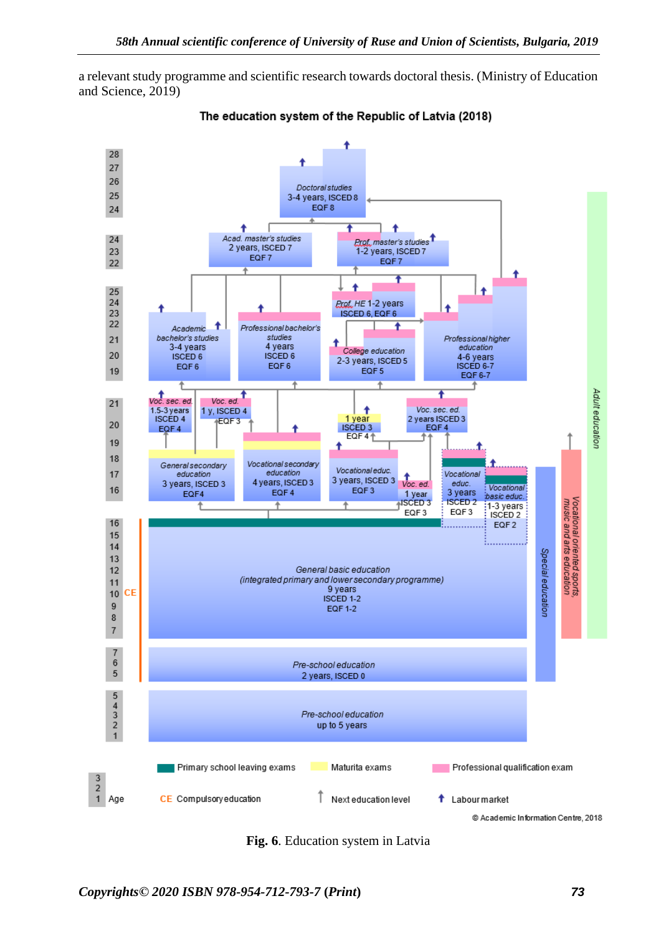a relevant study programme and scientific research towards doctoral thesis. (Ministry of Education and Science, 2019)



The education system of the Republic of Latvia (2018)

**Fig. 6**. Education system in Latvia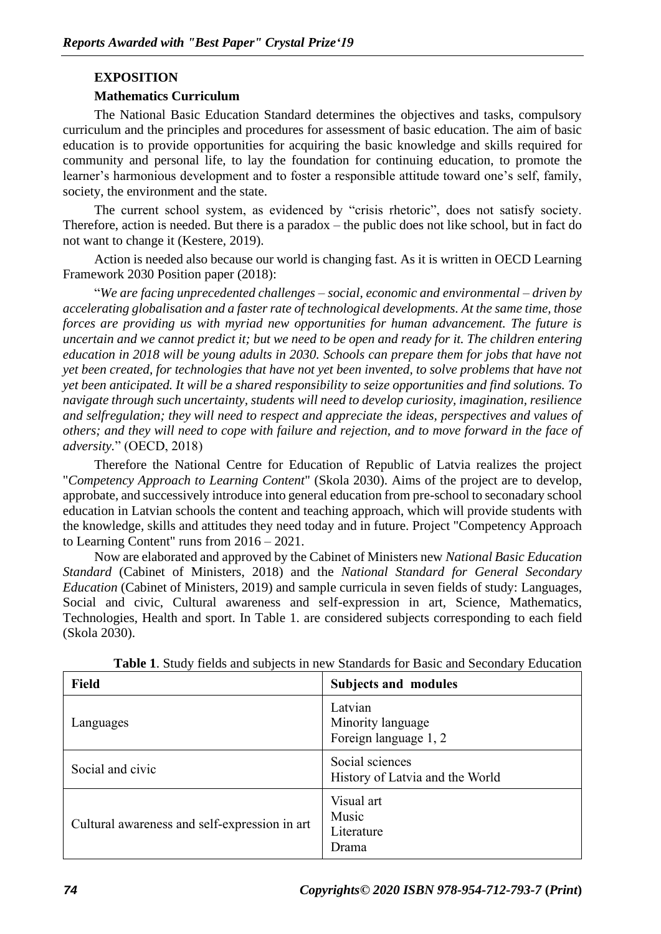## **EXPOSITION**

## **Mathematics Curriculum**

The National Basic Education Standard determines the objectives and tasks, compulsory curriculum and the principles and procedures for assessment of basic education. The aim of basic education is to provide opportunities for acquiring the basic knowledge and skills required for community and personal life, to lay the foundation for continuing education, to promote the learner's harmonious development and to foster a responsible attitude toward one's self, family, society, the environment and the state.

The current school system, as evidenced by "crisis rhetoric", does not satisfy society. Therefore, action is needed. But there is a paradox – the public does not like school, but in fact do not want to change it (Kestere, 2019).

Action is needed also because our world is changing fast. As it is written in OECD Learning Framework 2030 Position paper (2018):

"*We are facing unprecedented challenges – social, economic and environmental – driven by accelerating globalisation and a faster rate of technological developments. At the same time, those forces are providing us with myriad new opportunities for human advancement. The future is uncertain and we cannot predict it; but we need to be open and ready for it. The children entering education in 2018 will be young adults in 2030. Schools can prepare them for jobs that have not yet been created, for technologies that have not yet been invented, to solve problems that have not yet been anticipated. It will be a shared responsibility to seize opportunities and find solutions. To navigate through such uncertainty, students will need to develop curiosity, imagination, resilience and selfregulation; they will need to respect and appreciate the ideas, perspectives and values of others; and they will need to cope with failure and rejection, and to move forward in the face of adversity.*" (OECD, 2018)

Therefore the National Centre for Education of Republic of Latvia realizes the project "*Competency Approach to Learning Content*" (Skola 2030). Aims of the project are to develop, approbate, and successively introduce into general education from pre-school to seconadary school education in Latvian schools the content and teaching approach, which will provide students with the knowledge, skills and attitudes they need today and in future. Project "Competency Approach to Learning Content" runs from 2016 – 2021.

Now are elaborated and approved by the Cabinet of Ministers new *National Basic Education Standard* (Cabinet of Ministers, 2018) and the *National Standard for General Secondary Education* (Cabinet of Ministers, 2019) and sample curricula in seven fields of study: Languages, Social and civic, Cultural awareness and self-expression in art, Science, Mathematics, Technologies, Health and sport. In Table 1. are considered subjects corresponding to each field (Skola 2030).

| <b>Field</b>                                  | <b>Subjects and modules</b>                           |
|-----------------------------------------------|-------------------------------------------------------|
| Languages                                     | Latvian<br>Minority language<br>Foreign language 1, 2 |
| Social and civic                              | Social sciences<br>History of Latvia and the World    |
| Cultural awareness and self-expression in art | Visual art<br>Music<br>Literature<br>Drama            |

**Table 1**. Study fields and subjects in new Standards for Basic and Secondary Education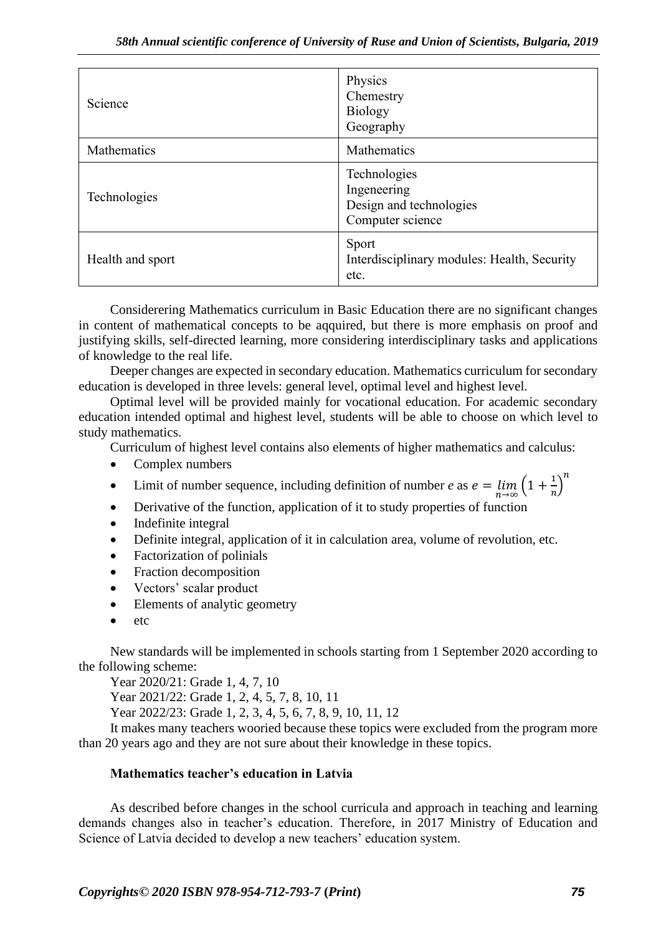| Science          | Physics<br>Chemestry<br><b>Biology</b><br>Geography                        |
|------------------|----------------------------------------------------------------------------|
| Mathematics      | <b>Mathematics</b>                                                         |
| Technologies     | Technologies<br>Ingeneering<br>Design and technologies<br>Computer science |
| Health and sport | Sport<br>Interdisciplinary modules: Health, Security<br>etc.               |

Considerering Mathematics curriculum in Basic Education there are no significant changes in content of mathematical concepts to be aqquired, but there is more emphasis on proof and justifying skills, self-directed learning, more considering interdisciplinary tasks and applications of knowledge to the real life.

Deeper changes are expected in secondary education. Mathematics curriculum for secondary education is developed in three levels: general level, optimal level and highest level.

Optimal level will be provided mainly for vocational education. For academic secondary education intended optimal and highest level, students will be able to choose on which level to study mathematics.

Curriculum of highest level contains also elements of higher mathematics and calculus:

- Complex numbers
- Limit of number sequence, including definition of number *e* as  $e = \lim_{n \to \infty} \left(1 + \frac{1}{n}\right)$  $\left(\frac{1}{n}\right)^n$
- Derivative of the function, application of it to study properties of function
- Indefinite integral
- Definite integral, application of it in calculation area, volume of revolution, etc.
- Factorization of polinials
- Fraction decomposition
- Vectors' scalar product
- Elements of analytic geometry
- etc

New standards will be implemented in schools starting from 1 September 2020 according to the following scheme:

Year 2020/21: Grade 1, 4, 7, 10

Year 2021/22: Grade 1, 2, 4, 5, 7, 8, 10, 11

Year 2022/23: Grade 1, 2, 3, 4, 5, 6, 7, 8, 9, 10, 11, 12

It makes many teachers wooried because these topics were excluded from the program more than 20 years ago and they are not sure about their knowledge in these topics.

## **Mathematics teacher's education in Latvia**

As described before changes in the school curricula and approach in teaching and learning demands changes also in teacher's education. Therefore, in 2017 Ministry of Education and Science of Latvia decided to develop a new teachers' education system.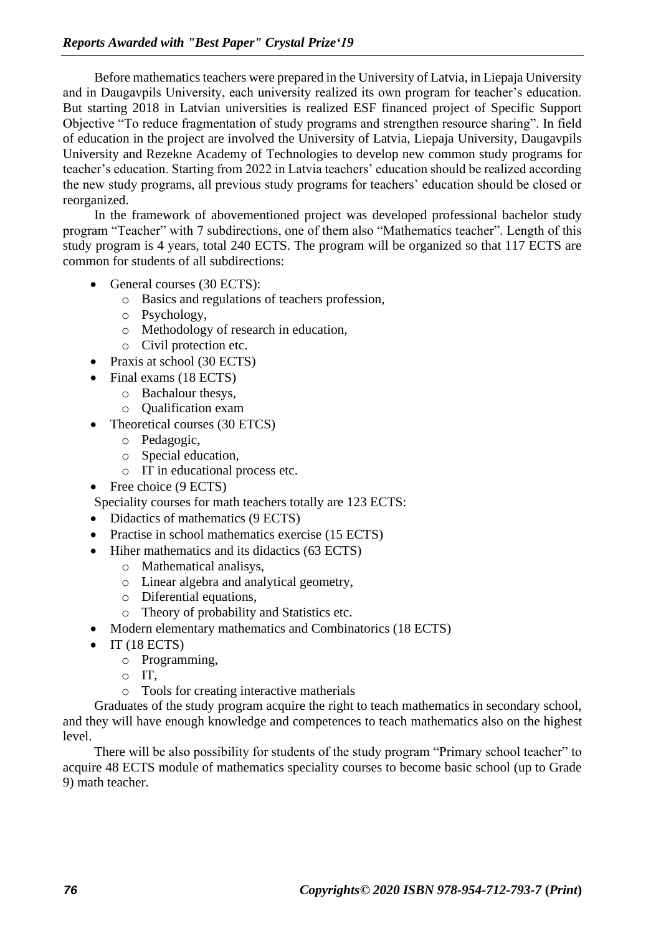Before mathematics teachers were prepared in the University of Latvia, in Liepaja University and in Daugavpils University, each university realized its own program for teacher's education. But starting 2018 in Latvian universities is realized ESF financed project of Specific Support Objective "To reduce fragmentation of study programs and strengthen resource sharing". In field of education in the project are involved the University of Latvia, Liepaja University, Daugavpils University and Rezekne Academy of Technologies to develop new common study programs for teacher's education. Starting from 2022 in Latvia teachers' education should be realized according the new study programs, all previous study programs for teachers' education should be closed or reorganized.

In the framework of abovementioned project was developed professional bachelor study program "Teacher" with 7 subdirections, one of them also "Mathematics teacher". Length of this study program is 4 years, total 240 ECTS. The program will be organized so that 117 ECTS are common for students of all subdirections:

- General courses (30 ECTS):
	- o Basics and regulations of teachers profession,
	- o Psychology,
	- o Methodology of research in education,
	- o Civil protection etc.
- Praxis at school (30 ECTS)
- Final exams (18 ECTS)
	- o Bachalour thesys,
	- o Qualification exam
- Theoretical courses (30 ETCS)
	- o Pedagogic,
	- o Special education,
	- o IT in educational process etc.
- Free choice (9 ECTS)
- Speciality courses for math teachers totally are 123 ECTS:
- Didactics of mathematics (9 ECTS)
- Practise in school mathematics exercise (15 ECTS)
- Hiher mathematics and its didactics (63 ECTS)
	- o Mathematical analisys,
	- o Linear algebra and analytical geometry,
	- o Diferential equations,
	- o Theory of probability and Statistics etc.
- Modern elementary mathematics and Combinatorics (18 ECTS)
- IT (18 ECTS)
	- o Programming,
	- o IT,
	- o Tools for creating interactive matherials

Graduates of the study program acquire the right to teach mathematics in secondary school, and they will have enough knowledge and competences to teach mathematics also on the highest level.

There will be also possibility for students of the study program "Primary school teacher" to acquire 48 ECTS module of mathematics speciality courses to become basic school (up to Grade 9) math teacher.